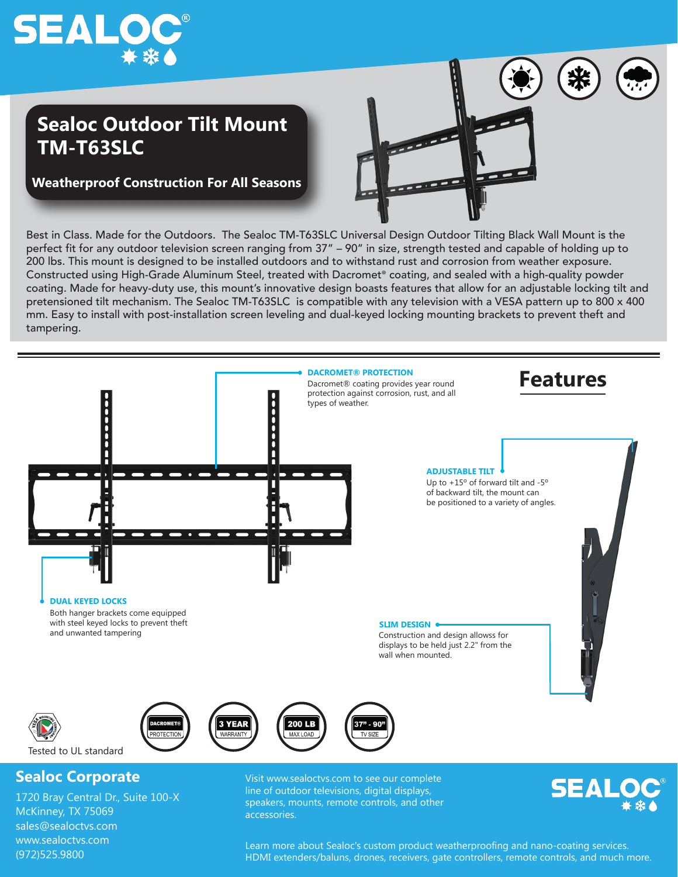

# **Sealoc Outdoor Tilt Mount TM-T63SLC**

**Weatherproof Construction For All Seasons**



Best in Class. Made for the Outdoors. The Sealoc TM-T63SLC Universal Design Outdoor Tilting Black Wall Mount is the perfect fit for any outdoor television screen ranging from 37" – 90" in size, strength tested and capable of holding up to 200 lbs. This mount is designed to be installed outdoors and to withstand rust and corrosion from weather exposure. Constructed using High-Grade Aluminum Steel, treated with Dacromet® coating, and sealed with a high-quality powder coating. Made for heavy-duty use, this mount's innovative design boasts features that allow for an adjustable locking tilt and pretensioned tilt mechanism. The Sealoc TM-T63SLC is compatible with any television with a VESA pattern up to 800 x 400 mm. Easy to install with post-installation screen leveling and dual-keyed locking mounting brackets to prevent theft and tampering.



McKinney, TX 75069 sales@sealoctvs.com www.sealoctvs.com (972)525.9800

accessories.



Learn more about Sealoc's custom product weatherproofing and nano-coating services. HDMI extenders/baluns, drones, receivers, gate controllers, remote controls, and much more.